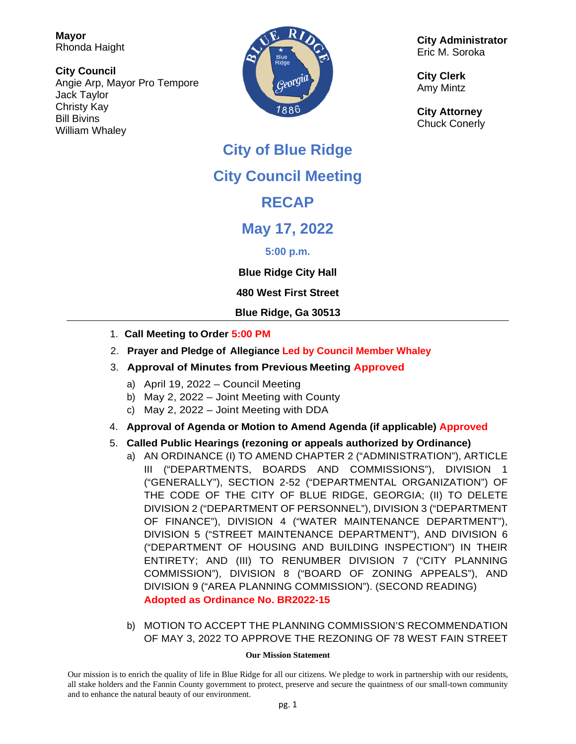**Mayor** Rhonda Haight

**City Council** Angie Arp, Mayor Pro Tempore Jack Taylor Christy Kay Bill Bivins William Whaley



**City Administrator** Eric M. Soroka

**City Clerk** Amy Mintz

**City Attorney** Chuck Conerly

**City of Blue Ridge City Council Meeting**

# **RECAP**

**May 17, 2022**

# **5:00 p.m.**

**Blue Ridge City Hall**

# **480 West First Street**

**Blue Ridge, Ga 30513**

- 1. **Call Meeting to Order 5:00 PM**
- 2. **Prayer and Pledge of Allegiance Led by Council Member Whaley**

## 3. **Approval of Minutes from Previous Meeting Approved**

- a) April 19, 2022 Council Meeting
- b) May 2, 2022 Joint Meeting with County
- c) May 2, 2022 Joint Meeting with DDA
- 4. **Approval of Agenda or Motion to Amend Agenda (if applicable) Approved**

## 5. **Called Public Hearings (rezoning or appeals authorized by Ordinance)**

- a) AN ORDINANCE (I) TO AMEND CHAPTER 2 ("ADMINISTRATION"), ARTICLE III ("DEPARTMENTS, BOARDS AND COMMISSIONS"), DIVISION 1 ("GENERALLY"), SECTION 2-52 ("DEPARTMENTAL ORGANIZATION") OF THE CODE OF THE CITY OF BLUE RIDGE, GEORGIA; (II) TO DELETE DIVISION 2 ("DEPARTMENT OF PERSONNEL"), DIVISION 3 ("DEPARTMENT OF FINANCE"), DIVISION 4 ("WATER MAINTENANCE DEPARTMENT"), DIVISION 5 ("STREET MAINTENANCE DEPARTMENT"), AND DIVISION 6 ("DEPARTMENT OF HOUSING AND BUILDING INSPECTION") IN THEIR ENTIRETY; AND (III) TO RENUMBER DIVISION 7 ("CITY PLANNING COMMISSION"), DIVISION 8 ("BOARD OF ZONING APPEALS"), AND DIVISION 9 ("AREA PLANNING COMMISSION"). (SECOND READING) **Adopted as Ordinance No. BR2022-15**
- b) MOTION TO ACCEPT THE PLANNING COMMISSION'S RECOMMENDATION OF MAY 3, 2022 TO APPROVE THE REZONING OF 78 WEST FAIN STREET

#### **Our Mission Statement**

Our mission is to enrich the quality of life in Blue Ridge for all our citizens. We pledge to work in partnership with our residents, all stake holders and the Fannin County government to protect, preserve and secure the quaintness of our small-town community and to enhance the natural beauty of our environment.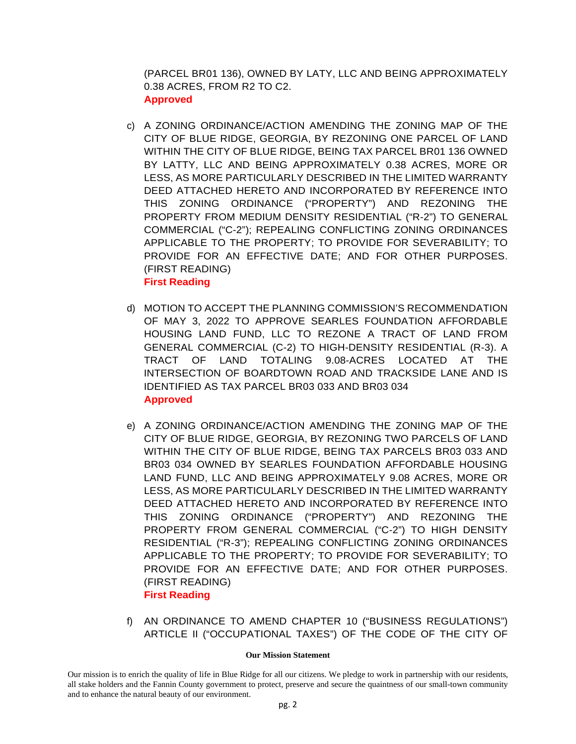(PARCEL BR01 136), OWNED BY LATY, LLC AND BEING APPROXIMATELY 0.38 ACRES, FROM R2 TO C2. **Approved**

- c) A ZONING ORDINANCE/ACTION AMENDING THE ZONING MAP OF THE CITY OF BLUE RIDGE, GEORGIA, BY REZONING ONE PARCEL OF LAND WITHIN THE CITY OF BLUE RIDGE, BEING TAX PARCEL BR01 136 OWNED BY LATTY, LLC AND BEING APPROXIMATELY 0.38 ACRES, MORE OR LESS, AS MORE PARTICULARLY DESCRIBED IN THE LIMITED WARRANTY DEED ATTACHED HERETO AND INCORPORATED BY REFERENCE INTO THIS ZONING ORDINANCE ("PROPERTY") AND REZONING THE PROPERTY FROM MEDIUM DENSITY RESIDENTIAL ("R-2") TO GENERAL COMMERCIAL ("C-2"); REPEALING CONFLICTING ZONING ORDINANCES APPLICABLE TO THE PROPERTY; TO PROVIDE FOR SEVERABILITY; TO PROVIDE FOR AN EFFECTIVE DATE; AND FOR OTHER PURPOSES. (FIRST READING) **First Reading**
- d) MOTION TO ACCEPT THE PLANNING COMMISSION'S RECOMMENDATION OF MAY 3, 2022 TO APPROVE SEARLES FOUNDATION AFFORDABLE HOUSING LAND FUND, LLC TO REZONE A TRACT OF LAND FROM GENERAL COMMERCIAL (C-2) TO HIGH-DENSITY RESIDENTIAL (R-3). A TRACT OF LAND TOTALING 9.08-ACRES LOCATED AT THE INTERSECTION OF BOARDTOWN ROAD AND TRACKSIDE LANE AND IS IDENTIFIED AS TAX PARCEL BR03 033 AND BR03 034 **Approved**
- e) A ZONING ORDINANCE/ACTION AMENDING THE ZONING MAP OF THE CITY OF BLUE RIDGE, GEORGIA, BY REZONING TWO PARCELS OF LAND WITHIN THE CITY OF BLUE RIDGE, BEING TAX PARCELS BR03 033 AND BR03 034 OWNED BY SEARLES FOUNDATION AFFORDABLE HOUSING LAND FUND, LLC AND BEING APPROXIMATELY 9.08 ACRES, MORE OR LESS, AS MORE PARTICULARLY DESCRIBED IN THE LIMITED WARRANTY DEED ATTACHED HERETO AND INCORPORATED BY REFERENCE INTO THIS ZONING ORDINANCE ("PROPERTY") AND REZONING THE PROPERTY FROM GENERAL COMMERCIAL ("C-2") TO HIGH DENSITY RESIDENTIAL ("R-3"); REPEALING CONFLICTING ZONING ORDINANCES APPLICABLE TO THE PROPERTY; TO PROVIDE FOR SEVERABILITY; TO PROVIDE FOR AN EFFECTIVE DATE; AND FOR OTHER PURPOSES. (FIRST READING)

**First Reading**

f) AN ORDINANCE TO AMEND CHAPTER 10 ("BUSINESS REGULATIONS") ARTICLE II ("OCCUPATIONAL TAXES") OF THE CODE OF THE CITY OF

#### **Our Mission Statement**

Our mission is to enrich the quality of life in Blue Ridge for all our citizens. We pledge to work in partnership with our residents, all stake holders and the Fannin County government to protect, preserve and secure the quaintness of our small-town community and to enhance the natural beauty of our environment.